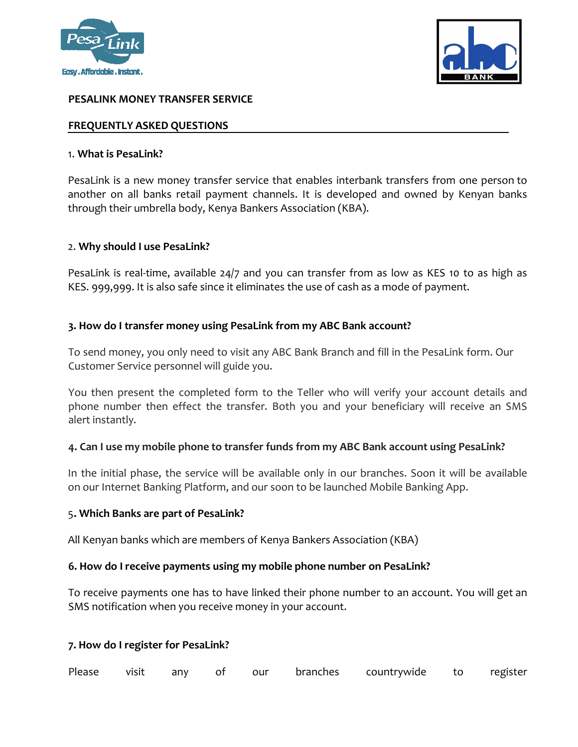



#### PESALINK MONEY TRANSFER SERVICE

#### FREQUENTLY ASKED QUESTIONS

#### 1. What is PesaLink?

PesaLink is a new money transfer service that enables interbank transfers from one person to another on all banks retail payment channels. It is developed and owned by Kenyan banks through their umbrella body, Kenya Bankers Association (KBA).

#### 2. Why should I use PesaLink?

PesaLink is real-time, available 24/7 and you can transfer from as low as KES 10 to as high as KES. 999,999. It is also safe since it eliminates the use of cash as a mode of payment.

#### 3. How do I transfer money using PesaLink from my ABC Bank account?

To send money, you only need to visit any ABC Bank Branch and fill in the PesaLink form. Our Customer Service personnel will guide you.

You then present the completed form to the Teller who will verify your account details and phone number then effect the transfer. Both you and your beneficiary will receive an SMS alert instantly.

## 4. Can I use my mobile phone to transfer funds from my ABC Bank account using PesaLink?

In the initial phase, the service will be available only in our branches. Soon it will be available on our Internet Banking Platform, and our soon to be launched Mobile Banking App.

#### 5. Which Banks are part of PesaLink?

All Kenyan banks which are members of Kenya Bankers Association (KBA)

#### 6. How do I receive payments using my mobile phone number on PesaLink?

To receive payments one has to have linked their phone number to an account. You will get an SMS notification when you receive money in your account.

#### 7. How do I register for PesaLink?

| Please | visit |  |  |  |  | any of our branches countrywide to register |  |  |
|--------|-------|--|--|--|--|---------------------------------------------|--|--|
|--------|-------|--|--|--|--|---------------------------------------------|--|--|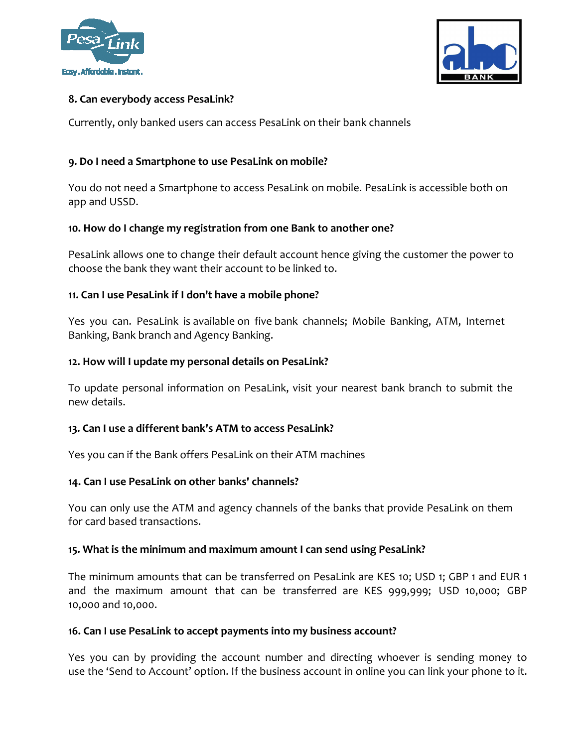



# 8. Can everybody access PesaLink?

Currently, only banked users can access PesaLink on their bank channels

## 9. Do I need a Smartphone to use PesaLink on mobile?

You do not need a Smartphone to access PesaLink on mobile. PesaLink is accessible both on app and USSD.

## 10. How do I change my registration from one Bank to another one?

PesaLink allows one to change their default account hence giving the customer the power to choose the bank they want their account to be linked to.

# 11. Can I use PesaLink if I don't have a mobile phone?

Yes you can. PesaLink is available on five bank channels; Mobile Banking, ATM, Internet Banking, Bank branch and Agency Banking.

## 12. How will I update my personal details on PesaLink?

To update personal information on PesaLink, visit your nearest bank branch to submit the new details.

## 13. Can I use a different bank's ATM to access PesaLink?

Yes you can if the Bank offers PesaLink on their ATM machines

## 14. Can I use PesaLink on other banks' channels?

You can only use the ATM and agency channels of the banks that provide PesaLink on them for card based transactions.

## 15. What is the minimum and maximum amount I can send using PesaLink?

The minimum amounts that can be transferred on PesaLink are KES 10; USD 1; GBP 1 and EUR 1 and the maximum amount that can be transferred are KES 999,999; USD 10,000; GBP 10,000 and 10,000.

## 16. Can I use PesaLink to accept payments into my business account?

Yes you can by providing the account number and directing whoever is sending money to use the 'Send to Account' option. If the business account in online you can link your phone to it.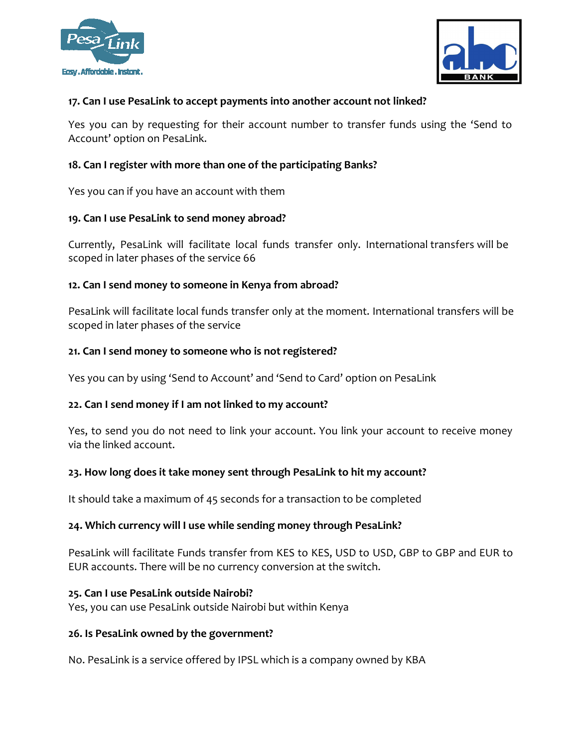



# 17. Can I use PesaLink to accept payments into another account not linked?

Yes you can by requesting for their account number to transfer funds using the 'Send to Account' option on PesaLink.

## 18. Can I register with more than one of the participating Banks?

Yes you can if you have an account with them

# 19. Can I use PesaLink to send money abroad?

Currently, PesaLink will facilitate local funds transfer only. International transfers will be scoped in later phases of the service 66

## 12. Can I send money to someone in Kenya from abroad?

PesaLink will facilitate local funds transfer only at the moment. International transfers will be scoped in later phases of the service

## 21. Can I send money to someone who is not registered?

Yes you can by using 'Send to Account' and 'Send to Card' option on PesaLink

# 22. Can I send money if I am not linked to my account?

Yes, to send you do not need to link your account. You link your account to receive money via the linked account.

## 23. How long does it take money sent through PesaLink to hit my account?

It should take a maximum of 45 seconds for a transaction to be completed

## 24. Which currency will I use while sending money through PesaLink?

PesaLink will facilitate Funds transfer from KES to KES, USD to USD, GBP to GBP and EUR to EUR accounts. There will be no currency conversion at the switch.

## 25. Can I use PesaLink outside Nairobi?

Yes, you can use PesaLink outside Nairobi but within Kenya

## 26. Is PesaLink owned by the government?

No. PesaLink is a service offered by IPSL which is a company owned by KBA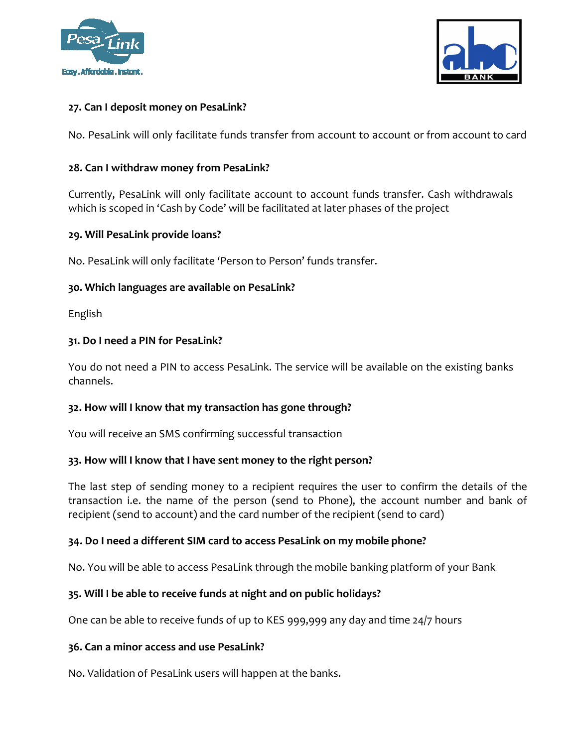



## 27. Can I deposit money on PesaLink?

No. PesaLink will only facilitate funds transfer from account to account or from account to card

## 28. Can I withdraw money from PesaLink?

Currently, PesaLink will only facilitate account to account funds transfer. Cash withdrawals which is scoped in 'Cash by Code' will be facilitated at later phases of the project

#### 29. Will PesaLink provide loans?

No. PesaLink will only facilitate 'Person to Person' funds transfer.

#### 30. Which languages are available on PesaLink?

English

#### 31. Do I need a PIN for PesaLink?

You do not need a PIN to access PesaLink. The service will be available on the existing banks channels.

## 32. How will I know that my transaction has gone through?

You will receive an SMS confirming successful transaction

## 33. How will I know that I have sent money to the right person?

The last step of sending money to a recipient requires the user to confirm the details of the transaction i.e. the name of the person (send to Phone), the account number and bank of recipient (send to account) and the card number of the recipient (send to card)

## 34. Do I need a different SIM card to access PesaLink on my mobile phone?

No. You will be able to access PesaLink through the mobile banking platform of your Bank

## 35. Will I be able to receive funds at night and on public holidays?

One can be able to receive funds of up to KES 999,999 any day and time 24/7 hours

#### 36. Can a minor access and use PesaLink?

No. Validation of PesaLink users will happen at the banks.